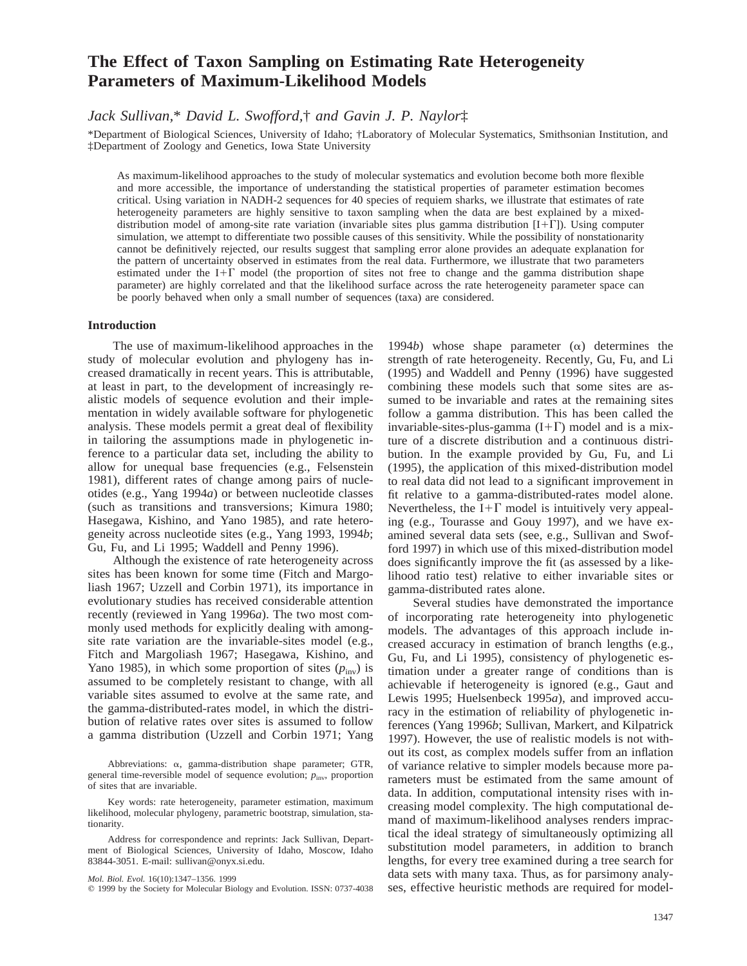# **The Effect of Taxon Sampling on Estimating Rate Heterogeneity Parameters of Maximum-Likelihood Models**

*Jack Sullivan,*\* *David L. Swofford,*† *and Gavin J. P. Naylor*‡

\*Department of Biological Sciences, University of Idaho; †Laboratory of Molecular Systematics, Smithsonian Institution, and ‡Department of Zoology and Genetics, Iowa State University

As maximum-likelihood approaches to the study of molecular systematics and evolution become both more flexible and more accessible, the importance of understanding the statistical properties of parameter estimation becomes critical. Using variation in NADH-2 sequences for 40 species of requiem sharks, we illustrate that estimates of rate heterogeneity parameters are highly sensitive to taxon sampling when the data are best explained by a mixeddistribution model of among-site rate variation (invariable sites plus gamma distribution  $[I+ \Gamma]$ ). Using computer simulation, we attempt to differentiate two possible causes of this sensitivity. While the possibility of nonstationarity cannot be definitively rejected, our results suggest that sampling error alone provides an adequate explanation for the pattern of uncertainty observed in estimates from the real data. Furthermore, we illustrate that two parameters estimated under the I+ $\Gamma$  model (the proportion of sites not free to change and the gamma distribution shape parameter) are highly correlated and that the likelihood surface across the rate heterogeneity parameter space can be poorly behaved when only a small number of sequences (taxa) are considered.

## **Introduction**

The use of maximum-likelihood approaches in the study of molecular evolution and phylogeny has increased dramatically in recent years. This is attributable, at least in part, to the development of increasingly realistic models of sequence evolution and their implementation in widely available software for phylogenetic analysis. These models permit a great deal of flexibility in tailoring the assumptions made in phylogenetic inference to a particular data set, including the ability to allow for unequal base frequencies (e.g., Felsenstein 1981), different rates of change among pairs of nucleotides (e.g., Yang 1994*a*) or between nucleotide classes (such as transitions and transversions; Kimura 1980; Hasegawa, Kishino, and Yano 1985), and rate heterogeneity across nucleotide sites (e.g., Yang 1993, 1994*b*; Gu, Fu, and Li 1995; Waddell and Penny 1996).

Although the existence of rate heterogeneity across sites has been known for some time (Fitch and Margoliash 1967; Uzzell and Corbin 1971), its importance in evolutionary studies has received considerable attention recently (reviewed in Yang 1996*a*). The two most commonly used methods for explicitly dealing with amongsite rate variation are the invariable-sites model (e.g., Fitch and Margoliash 1967; Hasegawa, Kishino, and Yano 1985), in which some proportion of sites  $(p_{\text{inv}})$  is assumed to be completely resistant to change, with all variable sites assumed to evolve at the same rate, and the gamma-distributed-rates model, in which the distribution of relative rates over sites is assumed to follow a gamma distribution (Uzzell and Corbin 1971; Yang

Key words: rate heterogeneity, parameter estimation, maximum likelihood, molecular phylogeny, parametric bootstrap, simulation, stationarity.

1994*b*) whose shape parameter (a) determines the strength of rate heterogeneity. Recently, Gu, Fu, and Li (1995) and Waddell and Penny (1996) have suggested combining these models such that some sites are assumed to be invariable and rates at the remaining sites follow a gamma distribution. This has been called the invariable-sites-plus-gamma  $(I+\Gamma)$  model and is a mixture of a discrete distribution and a continuous distribution. In the example provided by Gu, Fu, and Li (1995), the application of this mixed-distribution model to real data did not lead to a significant improvement in fit relative to a gamma-distributed-rates model alone. Nevertheless, the I+ $\Gamma$  model is intuitively very appealing (e.g., Tourasse and Gouy 1997), and we have examined several data sets (see, e.g., Sullivan and Swofford 1997) in which use of this mixed-distribution model does significantly improve the fit (as assessed by a likelihood ratio test) relative to either invariable sites or gamma-distributed rates alone.

Several studies have demonstrated the importance of incorporating rate heterogeneity into phylogenetic models. The advantages of this approach include increased accuracy in estimation of branch lengths (e.g., Gu, Fu, and Li 1995), consistency of phylogenetic estimation under a greater range of conditions than is achievable if heterogeneity is ignored (e.g., Gaut and Lewis 1995; Huelsenbeck 1995*a*), and improved accuracy in the estimation of reliability of phylogenetic inferences (Yang 1996*b*; Sullivan, Markert, and Kilpatrick 1997). However, the use of realistic models is not without its cost, as complex models suffer from an inflation of variance relative to simpler models because more parameters must be estimated from the same amount of data. In addition, computational intensity rises with increasing model complexity. The high computational demand of maximum-likelihood analyses renders impractical the ideal strategy of simultaneously optimizing all substitution model parameters, in addition to branch lengths, for every tree examined during a tree search for data sets with many taxa. Thus, as for parsimony analyses, effective heuristic methods are required for model-

Abbreviations: a, gamma-distribution shape parameter; GTR, general time-reversible model of sequence evolution;  $p_{\text{inv}}$ , proportion of sites that are invariable.

Address for correspondence and reprints: Jack Sullivan, Department of Biological Sciences, University of Idaho, Moscow, Idaho 83844-3051. E-mail: sullivan@onyx.si.edu.

*Mol. Biol. Evol.* 16(10):1347–1356. 1999

 $©$  1999 by the Society for Molecular Biology and Evolution. ISSN: 0737-4038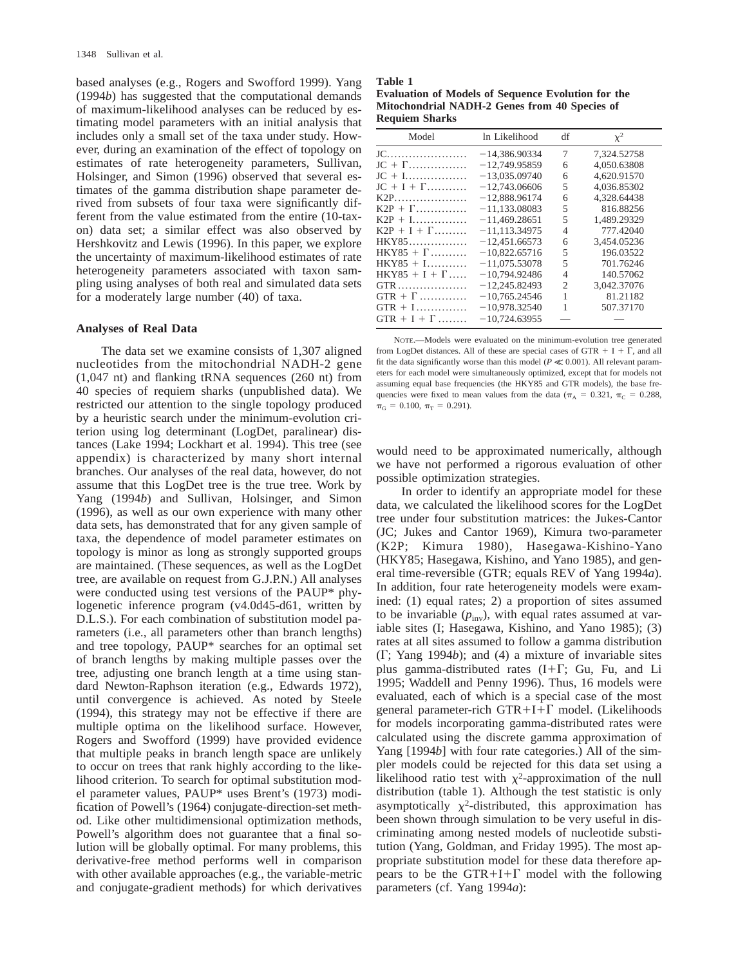based analyses (e.g., Rogers and Swofford 1999). Yang (1994*b*) has suggested that the computational demands of maximum-likelihood analyses can be reduced by estimating model parameters with an initial analysis that includes only a small set of the taxa under study. However, during an examination of the effect of topology on estimates of rate heterogeneity parameters, Sullivan, Holsinger, and Simon (1996) observed that several estimates of the gamma distribution shape parameter derived from subsets of four taxa were significantly different from the value estimated from the entire (10-taxon) data set; a similar effect was also observed by Hershkovitz and Lewis (1996). In this paper, we explore the uncertainty of maximum-likelihood estimates of rate heterogeneity parameters associated with taxon sampling using analyses of both real and simulated data sets for a moderately large number (40) of taxa.

### **Analyses of Real Data**

The data set we examine consists of 1,307 aligned nucleotides from the mitochondrial NADH-2 gene (1,047 nt) and flanking tRNA sequences (260 nt) from 40 species of requiem sharks (unpublished data). We restricted our attention to the single topology produced by a heuristic search under the minimum-evolution criterion using log determinant (LogDet, paralinear) distances (Lake 1994; Lockhart et al. 1994). This tree (see appendix) is characterized by many short internal branches. Our analyses of the real data, however, do not assume that this LogDet tree is the true tree. Work by Yang (1994*b*) and Sullivan, Holsinger, and Simon (1996), as well as our own experience with many other data sets, has demonstrated that for any given sample of taxa, the dependence of model parameter estimates on topology is minor as long as strongly supported groups are maintained. (These sequences, as well as the LogDet tree, are available on request from G.J.P.N.) All analyses were conducted using test versions of the PAUP\* phylogenetic inference program (v4.0d45-d61, written by D.L.S.). For each combination of substitution model parameters (i.e., all parameters other than branch lengths) and tree topology, PAUP\* searches for an optimal set of branch lengths by making multiple passes over the tree, adjusting one branch length at a time using standard Newton-Raphson iteration (e.g., Edwards 1972), until convergence is achieved. As noted by Steele (1994), this strategy may not be effective if there are multiple optima on the likelihood surface. However, Rogers and Swofford (1999) have provided evidence that multiple peaks in branch length space are unlikely to occur on trees that rank highly according to the likelihood criterion. To search for optimal substitution model parameter values, PAUP\* uses Brent's (1973) modification of Powell's (1964) conjugate-direction-set method. Like other multidimensional optimization methods, Powell's algorithm does not guarantee that a final solution will be globally optimal. For many problems, this derivative-free method performs well in comparison with other available approaches (e.g., the variable-metric and conjugate-gradient methods) for which derivatives

#### **Table 1 Evaluation of Models of Sequence Evolution for the Mitochondrial NADH-2 Genes from 40 Species of Requiem Sharks**

| Model                | In Likelihood   | df             | $x^2$       |
|----------------------|-----------------|----------------|-------------|
|                      | $-14,386,90334$ | 7              | 7,324.52758 |
| $JC + \Gamma$        | $-12,749.95859$ | 6              | 4,050.63808 |
|                      | $-13,035.09740$ | 6              | 4,620.91570 |
| $JC + I + \Gamma$    | $-12,743,06606$ | 5              | 4.036.85302 |
| $K2P$                | $-12.888.96174$ | 6              | 4.328.64438 |
| $K2P + \Gamma$       | $-11.133.08083$ | 5              | 816.88256   |
| $K2P + I$            | $-11,469.28651$ | 5              | 1,489.29329 |
| $K2P + I + \Gamma$   | $-11.113.34975$ | 4              | 777.42040   |
| $HKY85$              | $-12.451.66573$ | 6              | 3,454.05236 |
| $HKY85 + \Gamma$     | $-10.822.65716$ | 5              | 196.03522   |
| $HKY85 + I$          | $-11.075.53078$ | 5              | 701.76246   |
| $HKY85 + I + \Gamma$ | $-10,794,92486$ | $\overline{4}$ | 140.57062   |
|                      | $-12,245.82493$ | 2              | 3,042.37076 |
| $GTR + \Gamma$       | $-10,765.24546$ | 1              | 81.21182    |
| $GTR + 1$            | $-10.978.32540$ | 1              | 507.37170   |
| $GTR + I + \Gamma$   | $-10.724.63955$ |                |             |

NOTE.—Models were evaluated on the minimum-evolution tree generated from LogDet distances. All of these are special cases of GTR  $+$  I +  $\Gamma$ , and all fit the data significantly worse than this model ( $P \ll 0.001$ ). All relevant parameters for each model were simultaneously optimized, except that for models not assuming equal base frequencies (the HKY85 and GTR models), the base frequencies were fixed to mean values from the data ( $\pi_A = 0.321$ ,  $\pi_C = 0.288$ ,  $\pi_G = 0.100$ ,  $\pi_T = 0.291$ ).

would need to be approximated numerically, although we have not performed a rigorous evaluation of other possible optimization strategies.

In order to identify an appropriate model for these data, we calculated the likelihood scores for the LogDet tree under four substitution matrices: the Jukes-Cantor (JC; Jukes and Cantor 1969), Kimura two-parameter (K2P; Kimura 1980), Hasegawa-Kishino-Yano (HKY85; Hasegawa, Kishino, and Yano 1985), and general time-reversible (GTR; equals REV of Yang 1994*a*). In addition, four rate heterogeneity models were examined: (1) equal rates; 2) a proportion of sites assumed to be invariable  $(p_{\text{inv}})$ , with equal rates assumed at variable sites (I; Hasegawa, Kishino, and Yano 1985); (3) rates at all sites assumed to follow a gamma distribution  $(\Gamma;$  Yang 1994*b*); and (4) a mixture of invariable sites plus gamma-distributed rates  $(I+\Gamma; Gu, Fu, and Li)$ 1995; Waddell and Penny 1996). Thus, 16 models were evaluated, each of which is a special case of the most general parameter-rich GTR+I+ $\Gamma$  model. (Likelihoods for models incorporating gamma-distributed rates were calculated using the discrete gamma approximation of Yang [1994*b*] with four rate categories.) All of the simpler models could be rejected for this data set using a likelihood ratio test with  $\chi^2$ -approximation of the null distribution (table 1). Although the test statistic is only asymptotically  $\chi^2$ -distributed, this approximation has been shown through simulation to be very useful in discriminating among nested models of nucleotide substitution (Yang, Goldman, and Friday 1995). The most appropriate substitution model for these data therefore appears to be the GTR+I+ $\Gamma$  model with the following parameters (cf. Yang 1994*a*):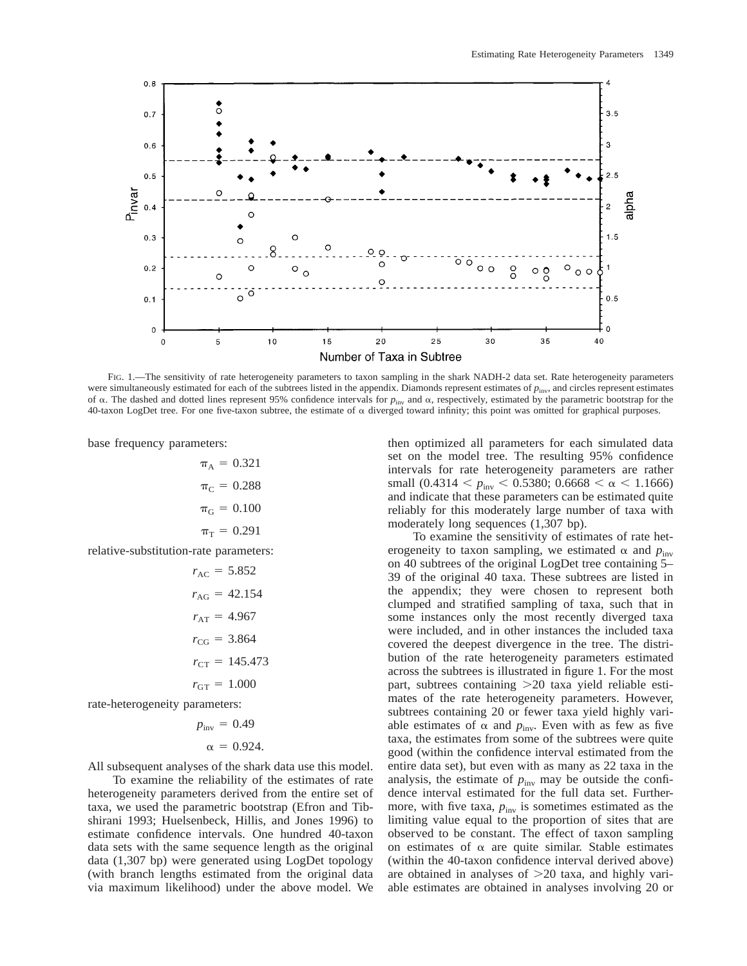

FIG. 1.—The sensitivity of rate heterogeneity parameters to taxon sampling in the shark NADH-2 data set. Rate heterogeneity parameters were simultaneously estimated for each of the subtrees listed in the appendix. Diamonds represent estimates of  $p_{\text{inv}}$ , and circles represent estimates of a. The dashed and dotted lines represent 95% confidence intervals for *p*inv and a, respectively, estimated by the parametric bootstrap for the 40-taxon LogDet tree. For one five-taxon subtree, the estimate of  $\alpha$  diverged toward infinity; this point was omitted for graphical purposes.

base frequency parameters:

 $\pi_{A} = 0.321$  $\pi_{C} = 0.288$  $\pi_{\rm G} = 0.100$  $\pi_{\rm T} = 0.291$ 

relative-substitution-rate parameters:

$$
r_{AC} = 5.852
$$

$$
r_{AG} = 42.154
$$

$$
r_{AT} = 4.967
$$

$$
r_{CG} = 3.864
$$

$$
r_{CT} = 145.473
$$

$$
r_{GT} = 1.000
$$

rate-heterogeneity parameters:

$$
p_{\text{inv}} = 0.49
$$

$$
\alpha = 0.924.
$$

All subsequent analyses of the shark data use this model.

To examine the reliability of the estimates of rate heterogeneity parameters derived from the entire set of taxa, we used the parametric bootstrap (Efron and Tibshirani 1993; Huelsenbeck, Hillis, and Jones 1996) to estimate confidence intervals. One hundred 40-taxon data sets with the same sequence length as the original data (1,307 bp) were generated using LogDet topology (with branch lengths estimated from the original data via maximum likelihood) under the above model. We

then optimized all parameters for each simulated data set on the model tree. The resulting 95% confidence intervals for rate heterogeneity parameters are rather small (0.4314  $< p_{\text{inv}} < 0.5380$ ; 0.6668  $< \alpha < 1.1666$ ) and indicate that these parameters can be estimated quite reliably for this moderately large number of taxa with moderately long sequences (1,307 bp).

To examine the sensitivity of estimates of rate heterogeneity to taxon sampling, we estimated  $\alpha$  and  $p_{\text{inv}}$ on 40 subtrees of the original LogDet tree containing 5– 39 of the original 40 taxa. These subtrees are listed in the appendix; they were chosen to represent both clumped and stratified sampling of taxa, such that in some instances only the most recently diverged taxa were included, and in other instances the included taxa covered the deepest divergence in the tree. The distribution of the rate heterogeneity parameters estimated across the subtrees is illustrated in figure 1. For the most part, subtrees containing  $>20$  taxa yield reliable estimates of the rate heterogeneity parameters. However, subtrees containing 20 or fewer taxa yield highly variable estimates of  $\alpha$  and  $p_{\text{inv}}$ . Even with as few as five taxa, the estimates from some of the subtrees were quite good (within the confidence interval estimated from the entire data set), but even with as many as 22 taxa in the analysis, the estimate of  $p_{\text{inv}}$  may be outside the confidence interval estimated for the full data set. Furthermore, with five taxa,  $p_{\text{inv}}$  is sometimes estimated as the limiting value equal to the proportion of sites that are observed to be constant. The effect of taxon sampling on estimates of  $\alpha$  are quite similar. Stable estimates (within the 40-taxon confidence interval derived above) are obtained in analyses of  $>20$  taxa, and highly variable estimates are obtained in analyses involving 20 or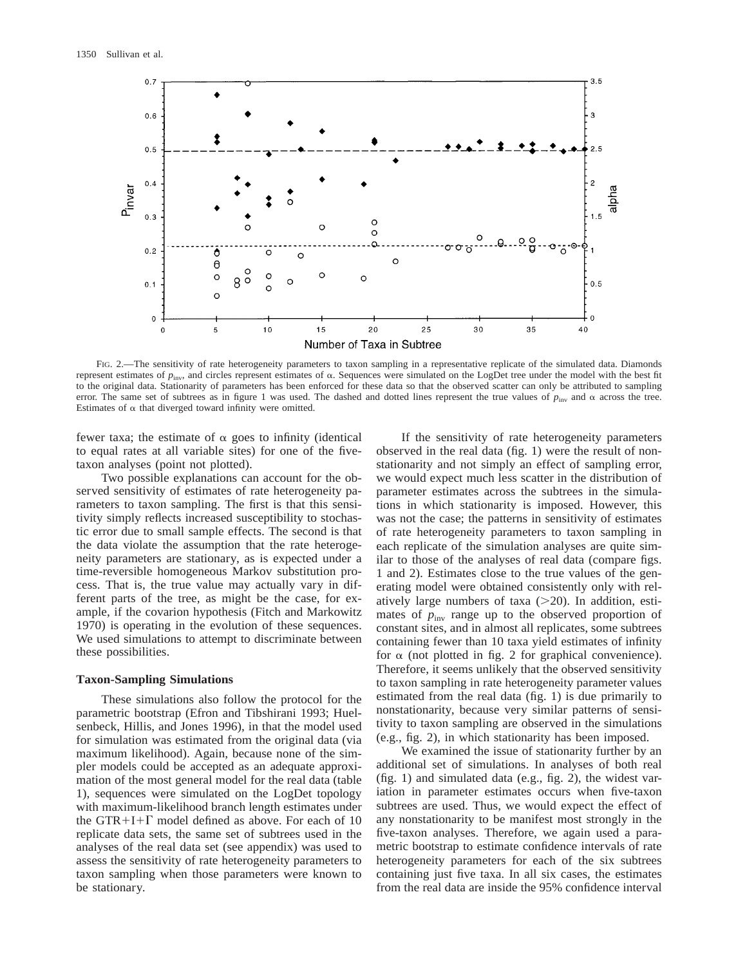

FIG. 2.—The sensitivity of rate heterogeneity parameters to taxon sampling in a representative replicate of the simulated data. Diamonds represent estimates of  $p_{\text{inv}}$ , and circles represent estimates of  $\alpha$ . Sequences were simulated on the LogDet tree under the model with the best fit to the original data. Stationarity of parameters has been enforced for these data so that the observed scatter can only be attributed to sampling error. The same set of subtrees as in figure 1 was used. The dashed and dotted lines represent the true values of  $p_{\text{inv}}$  and  $\alpha$  across the tree. Estimates of  $\alpha$  that diverged toward infinity were omitted.

fewer taxa; the estimate of  $\alpha$  goes to infinity (identical to equal rates at all variable sites) for one of the fivetaxon analyses (point not plotted).

Two possible explanations can account for the observed sensitivity of estimates of rate heterogeneity parameters to taxon sampling. The first is that this sensitivity simply reflects increased susceptibility to stochastic error due to small sample effects. The second is that the data violate the assumption that the rate heterogeneity parameters are stationary, as is expected under a time-reversible homogeneous Markov substitution process. That is, the true value may actually vary in different parts of the tree, as might be the case, for example, if the covarion hypothesis (Fitch and Markowitz 1970) is operating in the evolution of these sequences. We used simulations to attempt to discriminate between these possibilities.

#### **Taxon-Sampling Simulations**

These simulations also follow the protocol for the parametric bootstrap (Efron and Tibshirani 1993; Huelsenbeck, Hillis, and Jones 1996), in that the model used for simulation was estimated from the original data (via maximum likelihood). Again, because none of the simpler models could be accepted as an adequate approximation of the most general model for the real data (table 1), sequences were simulated on the LogDet topology with maximum-likelihood branch length estimates under the GTR+I+ $\Gamma$  model defined as above. For each of 10 replicate data sets, the same set of subtrees used in the analyses of the real data set (see appendix) was used to assess the sensitivity of rate heterogeneity parameters to taxon sampling when those parameters were known to be stationary.

If the sensitivity of rate heterogeneity parameters observed in the real data (fig. 1) were the result of nonstationarity and not simply an effect of sampling error, we would expect much less scatter in the distribution of parameter estimates across the subtrees in the simulations in which stationarity is imposed. However, this was not the case; the patterns in sensitivity of estimates of rate heterogeneity parameters to taxon sampling in each replicate of the simulation analyses are quite similar to those of the analyses of real data (compare figs. 1 and 2). Estimates close to the true values of the generating model were obtained consistently only with relatively large numbers of taxa  $(>=20)$ . In addition, estimates of  $p_{\text{inv}}$  range up to the observed proportion of constant sites, and in almost all replicates, some subtrees containing fewer than 10 taxa yield estimates of infinity for  $\alpha$  (not plotted in fig. 2 for graphical convenience). Therefore, it seems unlikely that the observed sensitivity to taxon sampling in rate heterogeneity parameter values estimated from the real data (fig. 1) is due primarily to nonstationarity, because very similar patterns of sensitivity to taxon sampling are observed in the simulations (e.g., fig. 2), in which stationarity has been imposed.

We examined the issue of stationarity further by an additional set of simulations. In analyses of both real (fig. 1) and simulated data (e.g., fig. 2), the widest variation in parameter estimates occurs when five-taxon subtrees are used. Thus, we would expect the effect of any nonstationarity to be manifest most strongly in the five-taxon analyses. Therefore, we again used a parametric bootstrap to estimate confidence intervals of rate heterogeneity parameters for each of the six subtrees containing just five taxa. In all six cases, the estimates from the real data are inside the 95% confidence interval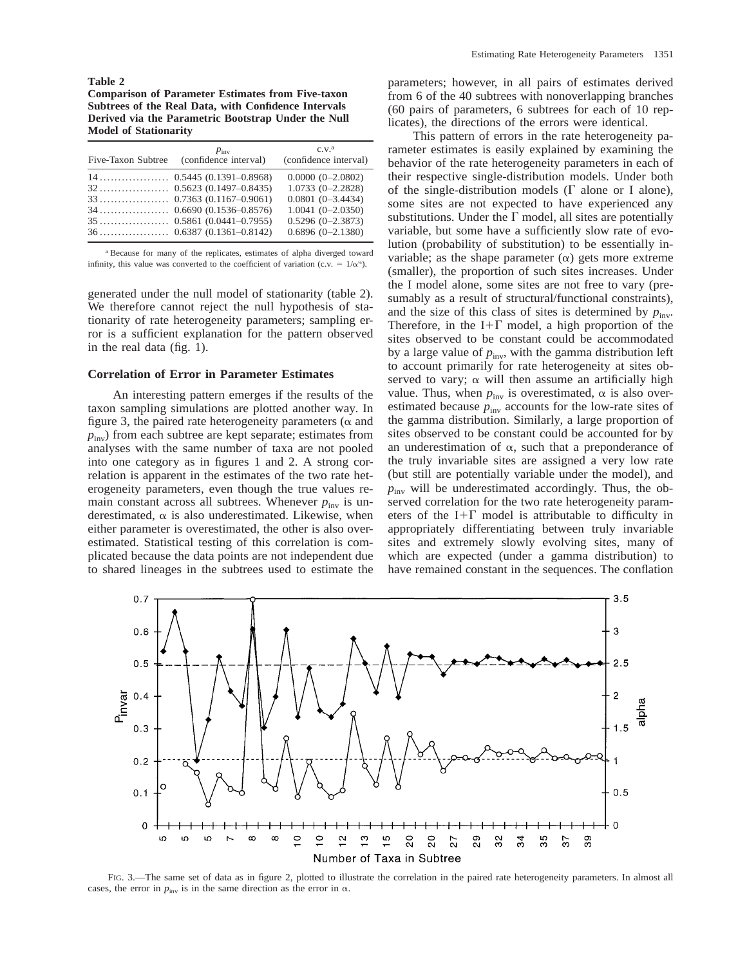**Table 2**

**Comparison of Parameter Estimates from Five-taxon Subtrees of the Real Data, with Confidence Intervals Derived via the Parametric Bootstrap Under the Null Model of Stationarity**

| Five-Taxon Subtree | $p_{\text{inv}}$<br>(confidence interval) | C.V. <sup>a</sup><br>(confidence interval) |
|--------------------|-------------------------------------------|--------------------------------------------|
|                    |                                           | $0.0000(0-2.0802)$                         |
|                    |                                           | $1.0733(0-2.2828)$                         |
|                    |                                           | $0.0801(0-3.4434)$                         |
|                    |                                           | $1.0041(0-2.0350)$                         |
|                    |                                           | $0.5296(0-2.3873)$                         |
|                    |                                           | $0.6896(0-2.1380)$                         |

<sup>a</sup> Because for many of the replicates, estimates of alpha diverged toward infinity, this value was converted to the coefficient of variation (c.v. =  $1/\alpha^{1/2}$ ).

generated under the null model of stationarity (table 2). We therefore cannot reject the null hypothesis of stationarity of rate heterogeneity parameters; sampling error is a sufficient explanation for the pattern observed in the real data (fig. 1).

#### **Correlation of Error in Parameter Estimates**

An interesting pattern emerges if the results of the taxon sampling simulations are plotted another way. In figure 3, the paired rate heterogeneity parameters ( $\alpha$  and  $p_{\text{inv}}$ ) from each subtree are kept separate; estimates from analyses with the same number of taxa are not pooled into one category as in figures 1 and 2. A strong correlation is apparent in the estimates of the two rate heterogeneity parameters, even though the true values remain constant across all subtrees. Whenever  $p_{\text{inv}}$  is underestimated,  $\alpha$  is also underestimated. Likewise, when either parameter is overestimated, the other is also overestimated. Statistical testing of this correlation is complicated because the data points are not independent due to shared lineages in the subtrees used to estimate the parameters; however, in all pairs of estimates derived from 6 of the 40 subtrees with nonoverlapping branches (60 pairs of parameters, 6 subtrees for each of 10 replicates), the directions of the errors were identical.

This pattern of errors in the rate heterogeneity parameter estimates is easily explained by examining the behavior of the rate heterogeneity parameters in each of their respective single-distribution models. Under both of the single-distribution models  $(\Gamma$  alone or I alone), some sites are not expected to have experienced any substitutions. Under the  $\Gamma$  model, all sites are potentially variable, but some have a sufficiently slow rate of evolution (probability of substitution) to be essentially invariable; as the shape parameter  $(\alpha)$  gets more extreme (smaller), the proportion of such sites increases. Under the I model alone, some sites are not free to vary (presumably as a result of structural/functional constraints), and the size of this class of sites is determined by  $p_{\text{inv}}$ . Therefore, in the I+ $\Gamma$  model, a high proportion of the sites observed to be constant could be accommodated by a large value of  $p_{\text{inv}}$ , with the gamma distribution left to account primarily for rate heterogeneity at sites observed to vary;  $\alpha$  will then assume an artificially high value. Thus, when  $p_{\text{inv}}$  is overestimated,  $\alpha$  is also overestimated because  $p_{\text{inv}}$  accounts for the low-rate sites of the gamma distribution. Similarly, a large proportion of sites observed to be constant could be accounted for by an underestimation of  $\alpha$ , such that a preponderance of the truly invariable sites are assigned a very low rate (but still are potentially variable under the model), and  $p_{\text{inv}}$  will be underestimated accordingly. Thus, the observed correlation for the two rate heterogeneity parameters of the I+ $\Gamma$  model is attributable to difficulty in appropriately differentiating between truly invariable sites and extremely slowly evolving sites, many of which are expected (under a gamma distribution) to have remained constant in the sequences. The conflation



FIG. 3.—The same set of data as in figure 2, plotted to illustrate the correlation in the paired rate heterogeneity parameters. In almost all cases, the error in  $p_{\text{inv}}$  is in the same direction as the error in  $\alpha$ .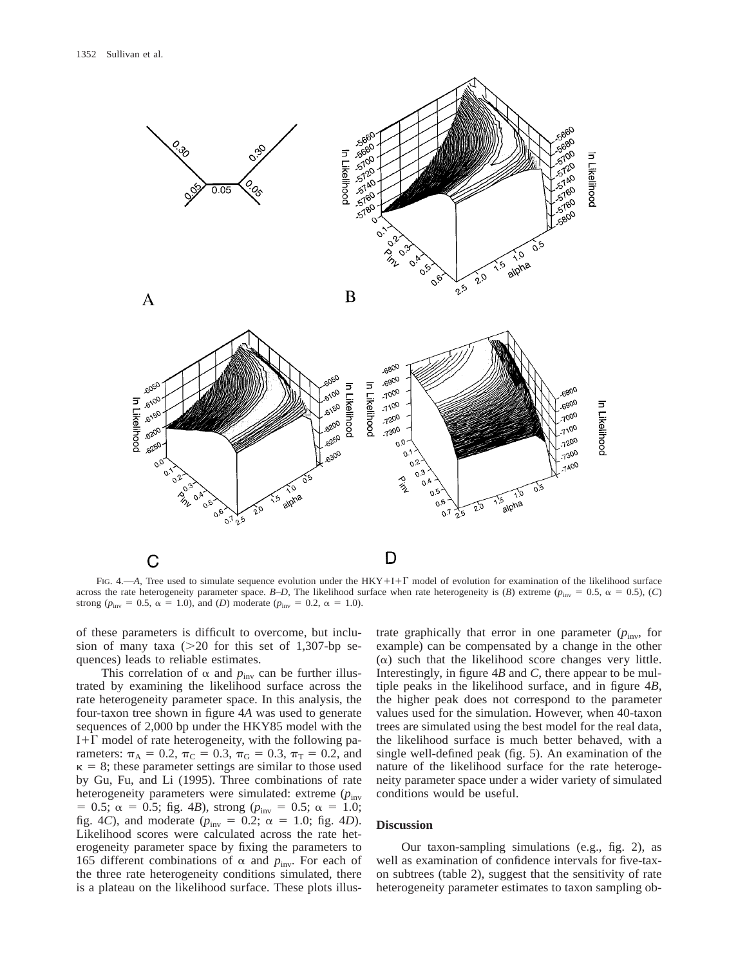

FIG. 4.—*A*, Tree used to simulate sequence evolution under the HKY+I+T model of evolution for examination of the likelihood surface across the rate heterogeneity parameter space. *B–D*, The likelihood surface when rate heterogeneity is (*B*) extreme ( $p_{\text{inv}} = 0.5$ ,  $\alpha = 0.5$ ), (*C*) strong ( $p_{\text{inv}} = 0.5$ ,  $\alpha = 1.0$ ), and (*D*) moderate ( $p_{\text{inv}} = 0.2$ ,  $\alpha = 1.0$ ).

of these parameters is difficult to overcome, but inclusion of many taxa ( $>20$  for this set of 1,307-bp sequences) leads to reliable estimates.

This correlation of  $\alpha$  and  $p_{\text{inv}}$  can be further illustrated by examining the likelihood surface across the rate heterogeneity parameter space. In this analysis, the four-taxon tree shown in figure 4*A* was used to generate sequences of 2,000 bp under the HKY85 model with the I+ $\Gamma$  model of rate heterogeneity, with the following parameters:  $\pi_A = 0.2$ ,  $\pi_C = 0.3$ ,  $\pi_G = 0.3$ ,  $\pi_T = 0.2$ , and  $\kappa = 8$ ; these parameter settings are similar to those used by Gu, Fu, and Li (1995). Three combinations of rate heterogeneity parameters were simulated: extreme ( $p_{\text{inv}}$ )  $= 0.5$ ;  $\alpha = 0.5$ ; fig. 4*B*), strong ( $p_{\text{inv}} = 0.5$ ;  $\alpha = 1.0$ ; fig. 4*C*), and moderate ( $p_{\text{inv}} = 0.2$ ;  $\alpha = 1.0$ ; fig. 4*D*). Likelihood scores were calculated across the rate heterogeneity parameter space by fixing the parameters to 165 different combinations of  $\alpha$  and  $p_{\text{inv}}$ . For each of the three rate heterogeneity conditions simulated, there is a plateau on the likelihood surface. These plots illustrate graphically that error in one parameter  $(p_{\text{inv}},$  for example) can be compensated by a change in the other  $(\alpha)$  such that the likelihood score changes very little. Interestingly, in figure 4*B* and *C,* there appear to be multiple peaks in the likelihood surface, and in figure 4*B,* the higher peak does not correspond to the parameter values used for the simulation. However, when 40-taxon trees are simulated using the best model for the real data, the likelihood surface is much better behaved, with a single well-defined peak (fig. 5). An examination of the nature of the likelihood surface for the rate heterogeneity parameter space under a wider variety of simulated conditions would be useful.

# **Discussion**

Our taxon-sampling simulations (e.g., fig. 2), as well as examination of confidence intervals for five-taxon subtrees (table 2), suggest that the sensitivity of rate heterogeneity parameter estimates to taxon sampling ob-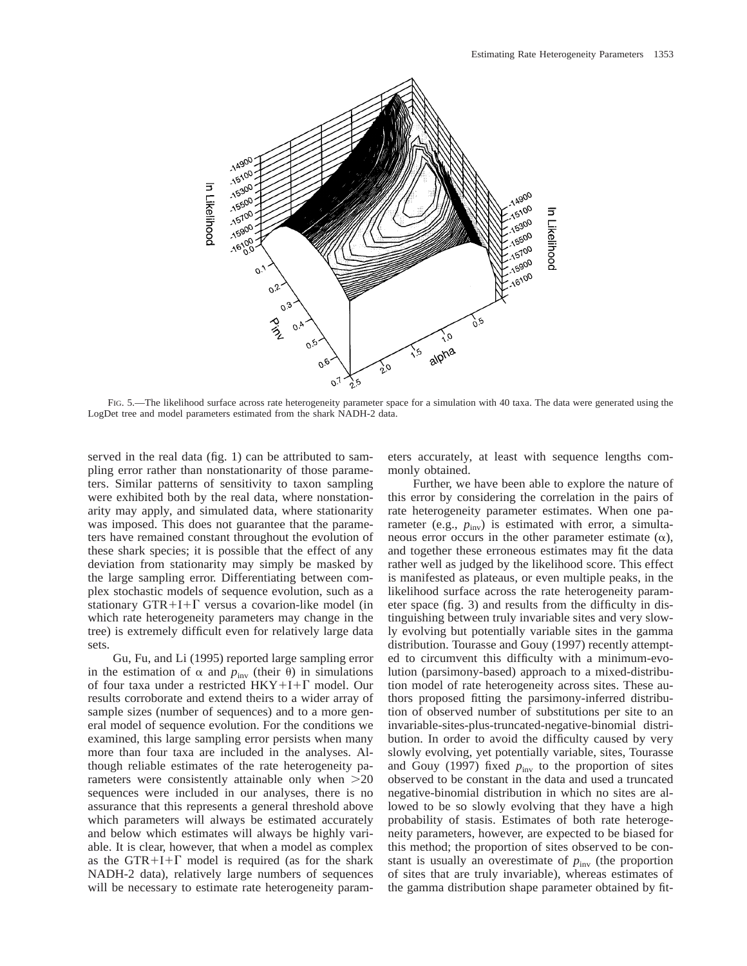

FIG. 5.—The likelihood surface across rate heterogeneity parameter space for a simulation with 40 taxa. The data were generated using the LogDet tree and model parameters estimated from the shark NADH-2 data.

served in the real data (fig. 1) can be attributed to sampling error rather than nonstationarity of those parameters. Similar patterns of sensitivity to taxon sampling were exhibited both by the real data, where nonstationarity may apply, and simulated data, where stationarity was imposed. This does not guarantee that the parameters have remained constant throughout the evolution of these shark species; it is possible that the effect of any deviation from stationarity may simply be masked by the large sampling error. Differentiating between complex stochastic models of sequence evolution, such as a stationary GTR+I+ $\Gamma$  versus a covarion-like model (in which rate heterogeneity parameters may change in the tree) is extremely difficult even for relatively large data sets.

Gu, Fu, and Li (1995) reported large sampling error in the estimation of  $\alpha$  and  $p_{\text{inv}}$  (their  $\theta$ ) in simulations of four taxa under a restricted  $HKY+I+\Gamma$  model. Our results corroborate and extend theirs to a wider array of sample sizes (number of sequences) and to a more general model of sequence evolution. For the conditions we examined, this large sampling error persists when many more than four taxa are included in the analyses. Although reliable estimates of the rate heterogeneity parameters were consistently attainable only when  $>20$ sequences were included in our analyses, there is no assurance that this represents a general threshold above which parameters will always be estimated accurately and below which estimates will always be highly variable. It is clear, however, that when a model as complex as the GTR+I+ $\Gamma$  model is required (as for the shark NADH-2 data), relatively large numbers of sequences will be necessary to estimate rate heterogeneity parameters accurately, at least with sequence lengths commonly obtained.

Further, we have been able to explore the nature of this error by considering the correlation in the pairs of rate heterogeneity parameter estimates. When one parameter (e.g.,  $p_{\text{inv}}$ ) is estimated with error, a simultaneous error occurs in the other parameter estimate  $(\alpha)$ , and together these erroneous estimates may fit the data rather well as judged by the likelihood score. This effect is manifested as plateaus, or even multiple peaks, in the likelihood surface across the rate heterogeneity parameter space (fig. 3) and results from the difficulty in distinguishing between truly invariable sites and very slowly evolving but potentially variable sites in the gamma distribution. Tourasse and Gouy (1997) recently attempted to circumvent this difficulty with a minimum-evolution (parsimony-based) approach to a mixed-distribution model of rate heterogeneity across sites. These authors proposed fitting the parsimony-inferred distribution of observed number of substitutions per site to an invariable-sites-plus-truncated-negative-binomial distribution. In order to avoid the difficulty caused by very slowly evolving, yet potentially variable, sites, Tourasse and Gouy (1997) fixed  $p_{\text{inv}}$  to the proportion of sites observed to be constant in the data and used a truncated negative-binomial distribution in which no sites are allowed to be so slowly evolving that they have a high probability of stasis. Estimates of both rate heterogeneity parameters, however, are expected to be biased for this method; the proportion of sites observed to be constant is usually an overestimate of  $p_{\text{inv}}$  (the proportion of sites that are truly invariable), whereas estimates of the gamma distribution shape parameter obtained by fit-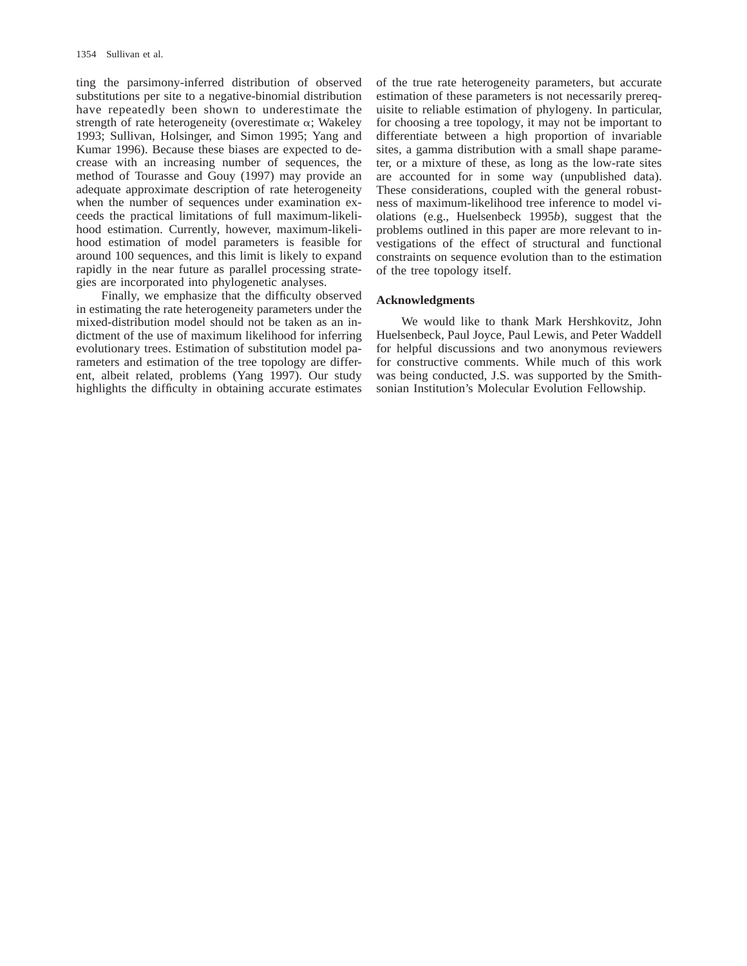ting the parsimony-inferred distribution of observed substitutions per site to a negative-binomial distribution have repeatedly been shown to underestimate the strength of rate heterogeneity (overestimate  $\alpha$ ; Wakeley 1993; Sullivan, Holsinger, and Simon 1995; Yang and Kumar 1996). Because these biases are expected to decrease with an increasing number of sequences, the method of Tourasse and Gouy (1997) may provide an adequate approximate description of rate heterogeneity when the number of sequences under examination exceeds the practical limitations of full maximum-likelihood estimation. Currently, however, maximum-likelihood estimation of model parameters is feasible for around 100 sequences, and this limit is likely to expand rapidly in the near future as parallel processing strategies are incorporated into phylogenetic analyses.

Finally, we emphasize that the difficulty observed in estimating the rate heterogeneity parameters under the mixed-distribution model should not be taken as an indictment of the use of maximum likelihood for inferring evolutionary trees. Estimation of substitution model parameters and estimation of the tree topology are different, albeit related, problems (Yang 1997). Our study highlights the difficulty in obtaining accurate estimates of the true rate heterogeneity parameters, but accurate estimation of these parameters is not necessarily prerequisite to reliable estimation of phylogeny. In particular, for choosing a tree topology, it may not be important to differentiate between a high proportion of invariable sites, a gamma distribution with a small shape parameter, or a mixture of these, as long as the low-rate sites are accounted for in some way (unpublished data). These considerations, coupled with the general robustness of maximum-likelihood tree inference to model violations (e.g., Huelsenbeck 1995*b*), suggest that the problems outlined in this paper are more relevant to investigations of the effect of structural and functional constraints on sequence evolution than to the estimation of the tree topology itself.

#### **Acknowledgments**

We would like to thank Mark Hershkovitz, John Huelsenbeck, Paul Joyce, Paul Lewis, and Peter Waddell for helpful discussions and two anonymous reviewers for constructive comments. While much of this work was being conducted, J.S. was supported by the Smithsonian Institution's Molecular Evolution Fellowship.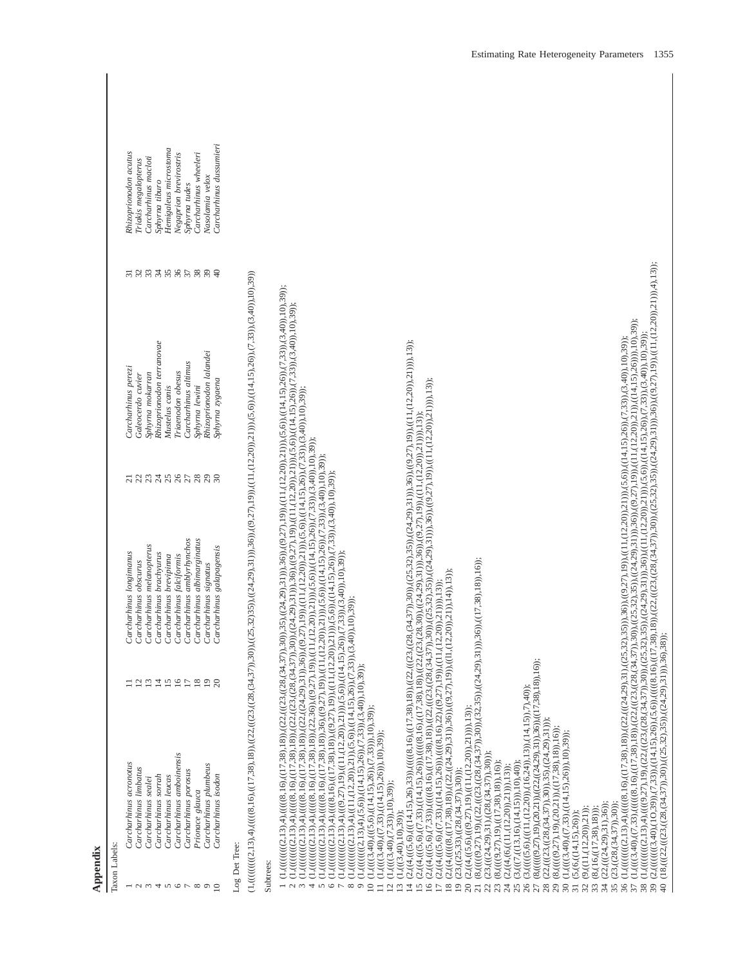| Appendix                                                                                                                          |                                                                                                                                                                                                                                                                                                                                                                                                                                                                                                                                                                                                                                                                                                                                                                                                                                                                                                                                                                                                                                                                                                                                                                                                                                                                                                                                                                                                                  |                                                                                                     |                                                                                                                                                                                                                                                                                    |            |                                                                                                                                                                                                                          |                               |                                                                                                                                                                                                                                    |  |
|-----------------------------------------------------------------------------------------------------------------------------------|------------------------------------------------------------------------------------------------------------------------------------------------------------------------------------------------------------------------------------------------------------------------------------------------------------------------------------------------------------------------------------------------------------------------------------------------------------------------------------------------------------------------------------------------------------------------------------------------------------------------------------------------------------------------------------------------------------------------------------------------------------------------------------------------------------------------------------------------------------------------------------------------------------------------------------------------------------------------------------------------------------------------------------------------------------------------------------------------------------------------------------------------------------------------------------------------------------------------------------------------------------------------------------------------------------------------------------------------------------------------------------------------------------------|-----------------------------------------------------------------------------------------------------|------------------------------------------------------------------------------------------------------------------------------------------------------------------------------------------------------------------------------------------------------------------------------------|------------|--------------------------------------------------------------------------------------------------------------------------------------------------------------------------------------------------------------------------|-------------------------------|------------------------------------------------------------------------------------------------------------------------------------------------------------------------------------------------------------------------------------|--|
| Taxon Labels:                                                                                                                     |                                                                                                                                                                                                                                                                                                                                                                                                                                                                                                                                                                                                                                                                                                                                                                                                                                                                                                                                                                                                                                                                                                                                                                                                                                                                                                                                                                                                                  |                                                                                                     |                                                                                                                                                                                                                                                                                    |            |                                                                                                                                                                                                                          |                               |                                                                                                                                                                                                                                    |  |
| 4<br>$\circ$<br>${}^{\circ}$<br>$\circ$<br>$\approx$<br>S                                                                         | Carcharhinus amboinensis<br>Carcharhinus acronotus<br>Carcharhinus plumbeus<br>Carcharhinus limbatus<br>Carcharhinus porosus<br>Carcharhinus isodon<br>Carcharhinus sorrah<br>Carcharhinus leucas<br>Carcharhinus sealei<br>Prionace glauca                                                                                                                                                                                                                                                                                                                                                                                                                                                                                                                                                                                                                                                                                                                                                                                                                                                                                                                                                                                                                                                                                                                                                                      | $\Xi$<br>16<br>$18\,$<br>$\Omega$<br>$\overline{c}$<br>$\frac{3}{2}$<br>15<br>17<br>$\overline{19}$ | Carcharhinus albimarginatus<br>Carcharhinus amblyrhynchos<br>Carcharhinus melanopterus<br>Carcharhinus galapagensis<br>Carcharhinus longinanus<br>Carcharhinus brachyurus<br>Carcharhinus falciformis<br>Carcharhinus brevipinna<br>Carcharhinus obscurus<br>Carcharhinus signatus | nanananana | Rhizoprionodon terranovae<br>Rhizoprionodon lalandei<br>Carcharhinus altimus<br>Carcharhinus perezi<br>Triaenodon obesus<br>Sphyrna mokarran<br>Galeocerdo cuvier<br>Sphyrna zygaena<br>Sphyrna lewini<br>Mustelus canis | nmanghagag<br>$\overline{31}$ | Carcharhinus dussumieri<br>Hemigaleus microstoma<br>Rhizoprionodon acutus<br>Negaprion brevirostris<br>Carcharhinus wheeleri<br>Carcharhinus macloti<br>Triakis megalopterus<br>Nasolamia velox<br>Sphyrna tiburo<br>Sphyrna tudes |  |
| Log Det Tree:                                                                                                                     |                                                                                                                                                                                                                                                                                                                                                                                                                                                                                                                                                                                                                                                                                                                                                                                                                                                                                                                                                                                                                                                                                                                                                                                                                                                                                                                                                                                                                  |                                                                                                     |                                                                                                                                                                                                                                                                                    |            |                                                                                                                                                                                                                          |                               |                                                                                                                                                                                                                                    |  |
| Subtrees:<br>$\tilde{\epsilon}$<br>4<br>5<br>$\circ$<br>$\overline{ }$<br>$\infty$<br>$\circ$<br>$\overline{a}$<br>$\overline{c}$ | 1 (11,(((((((1,4,0),((((2,((1,38)),(((1,38,((12,((12,5((2,4,37)),30),((2,4,29),30),((2,4,29)),30)),(((2,40)),(((1,(1,((2,40)),((1,1,0,39),(1,39)),(1,39)),(1,39)),(1,39)),(1,39)),(1,39)),(1,39)),(1,1,0,39)),(1,1,0,39)),(1,1<br>$(1,0.001,0.01,0.01,0.01,0.01,0.02), (0.025,0.025,0.025,0.024,0.03),\\ (0.01,0.02,0.03,0.02,0.02,0.03,0.01,0.02,0.03), (0.01,0.02,0.03), (0.01,0.03,0.03,0.04,0.05),\\ (0,0.01,0.02,0.02,0.02,0.03,0.03,0.04,0.02,0.02,0.03,0.04,0.04,0.0$<br>$(1,0.012,13), 4), (0.02,13), 4), (0.02,13), (0.02,13), (0.02,13), (0.02,13), (0.01,13), (0.01,13), (0.01,13), (0.01,13), (0.01,13), (0.01,13), (0.01,13), (0.01,13), (0.01,13), (0.01,13), (0.01,13), (0.01,13), (0.01,13), (0.01,13), (0.01,13), (0.01,13), (0.01,13), (0.0$<br>(1,((((((((((((((((((2,13),4),(((((8,1),4),(((((8,1),16)),36),(((12,20)),(((11,(2,20)),(1))),(5,6)),(14,15),26)),(7,33)),(3,40)),10));<br>$(1, ((((((((((2,13),4),(((9,27),19),((11,(12,20)),21))),(5,6)),((14,15),26)),(7,17,27))$<br>$(1, ((((((((((2,13),4),((11,(12,20)),21)),(5,6)),((14,15),26)),(7,33)),(3,40)),$<br>$(1, (((((((((((2,13),4),(((((8,16),((17,38),18)),((22,((24,29),31)),36)),((9,27,1)))))))$<br>$(1, ((((((((2,13),4), (5,6)),((14,15),26)),(7,33)),(3,40),10),39));$<br>$(1,(((3,40),(((5,6),((14,15),26)),(7,33))),10,39))$ ;<br>$(1,(((3,40),((7,33),((14,15),26))),10),39)$ ;<br>$(1,(((3,40),(7,33)),10),39)$ ; |                                                                                                     | ),19)),((11,(12,20)),21))),(5,6)),((14,15),26)),(7,33)),(3,40)),10),39));<br>$(33)(3, (3,40))$ , $(10), 39)$ ;<br>$10,39$ );                                                                                                                                                       |            |                                                                                                                                                                                                                          |                               |                                                                                                                                                                                                                                    |  |
| $\overline{13}$<br>4<br>20<br>51<br>$\overline{16}$<br>$^{8}$<br>$\overline{19}$<br>22<br>$\overline{17}$<br>$\overline{z}$       | (2,((4,(((5,6),(((14,15),26),33)),((((8,16),(((23,16),(((23,(23),((23,(24,37)),30)),((24,32),35)),(((24,29)),36)),((9,27),19),0,12))),13);13);13);1<br>(2,((4,(((5,6),((14,15),26),33)),((((8,10),((17,38),18)),((23,(24,37)),30)<br>$(2, (4, (((5,6), (7,33)), (((((8,16), (17,38)), (22, ((22, ((22, (224,37)),30)),(24,29), (24,29)),(24,29), (24,27), (19)),(1(12,20)), (17,17)), (13,17)),$<br>$(2,(4,(((5,6),(7,33),((14,15),26))_{\scriptscriptstyle{0}}(((8,16),((17,38),((22,(23,283),((23,(29,30))_{\scriptscriptstyle{0}})(24,29),31))_{\scriptscriptstyle{0}})(9,27),19))_{\scriptscriptstyle{1}}((1, (12,20),2(1))_{\scriptscriptstyle{1}})(13))_{\scriptscriptstyle{2}}$<br>$(8,(((((9,27),19),((22,(((23,(34,37)),30)),(32,35)),((24,29),31))),36),((17,38),18)),16))$<br>$(2, ((4, (((((8, ((17,38),18)), ((22, ((24,29),31)),36)), ((9,27),19)), ((11, ((12,20)),21)),14)),13));$<br>$(2, ((4, (((5,6), ((7,33), ((14,15),26))), (((((8,16,22), ((9,27),19)), ((11, (12,20)),21)))), 13)))$<br>$(2, ((4, ((5, 6), ((9, 27), 19), ((11, (12, 20)), 21))))$ , 13));<br>$(23, ((24,29), 31), (28, (34,37)), 30))$ ;<br>$(23, (25, 33), (28, (34, 37)), 30))$ ;<br>(1, ((3,40),10),39))                                                                                                                                                                                                             |                                                                                                     |                                                                                                                                                                                                                                                                                    |            |                                                                                                                                                                                                                          |                               |                                                                                                                                                                                                                                    |  |
| $30\,$<br>24<br>26<br>28<br>23<br>25<br>29<br>32<br>33<br>$\overline{31}$<br>27                                                   | $(8,(((((9,27),19),(20,21)),((22,((24,29),31)),36))((17,38),18)),16))$ ;<br>$(3,(((((5,6),(((11, (12,20)), (16,24)), (14,15)), 7), 40));$<br>$(22, ((23, ((28, (34, 37)), 30)), 35), ((24, 29), 31))$ ;<br>$(8,((((9,27),19),(20,21)),((17,38),18)),(6));$<br>$(1,((((3,40),((7,33),((14,15),26))),10),39));$<br>$(8,(((9,27),19),((17,38),18)),16)$ ;<br>$(3, ((7, ((13, 16), (14, 15))), (10), (40));$<br>$(2, ((4, (6, ((11, (12,20)), 21))), 13));$<br>$(9, (11, (12, 20)), 21)$ ;<br>$(8, (16, (17, 38), 18))$ ;<br>$(5, (6, ((14, 15), 26))$ ;                                                                                                                                                                                                                                                                                                                                                                                                                                                                                                                                                                                                                                                                                                                                                                                                                                                             |                                                                                                     |                                                                                                                                                                                                                                                                                    |            |                                                                                                                                                                                                                          |                               |                                                                                                                                                                                                                                    |  |
| $\frac{39}{40}$<br>38<br>36<br>34<br>35<br>57                                                                                     | (1,((((3,40),((7,33),((((((8,16),(17,38),18)),((22,(((28,(34,37)),30)),((25,32),35)),((24,29),31))),30(9,27),19)),((0,12,20),21)),((14,15),20))),10),30));<br>(((((3,40),((7,33),(((((8,16),(17,38),18)),((22,(((23,((28,(34,37),<br>(1,04,15),2(6),1,19),(((2,2(1,4,0),19),(((2,4,37),10)),((24,32),(36,22),((24,29)),((24,29)),((1,0,220)),(2,0)),(((((4,15,26)),(7,33)),(1,0,39));(1),19),10,39));<br>(1,((((((((((1,13),4),((((((2,13),((17,38),((25),13)),((25,32),136)),(((9,2,32),19)),(((9,2,27),(1,(1,(12,20)),(1,0,30)),(1,3,10),20)),(0,3,40),10),39));(1,39));(1,39));(1,39);(1,13)),(1,4,13)),(1,4,13)),(1,4,13)),(1,4,13)<br>$(2,((((((((3,40),(10,39)),(7,33)),((1,4,15),26)),(5,6)),(((8,16),(17,38),11),((12,((22,((23,(24,37)),30)),((25,32),35)),((24,29),31))),36),38))$<br>$(22, ((24.29), 31), 36)$ :<br>$(23, (28, (34, 37)), 30)$ ;                                                                                                                                                                                                                                                                                                                                                                                                                                                                                                                                                      |                                                                                                     |                                                                                                                                                                                                                                                                                    |            | $8)$ ),((22,(((23,((28,(34,37)),30)),((25,32),35)),((24,29),31))),36)),((9,27),19)),((11,(12,20)),21))),4),13));                                                                                                         |                               |                                                                                                                                                                                                                                    |  |

Estimating Rate Heterogeneity Parameters 1355